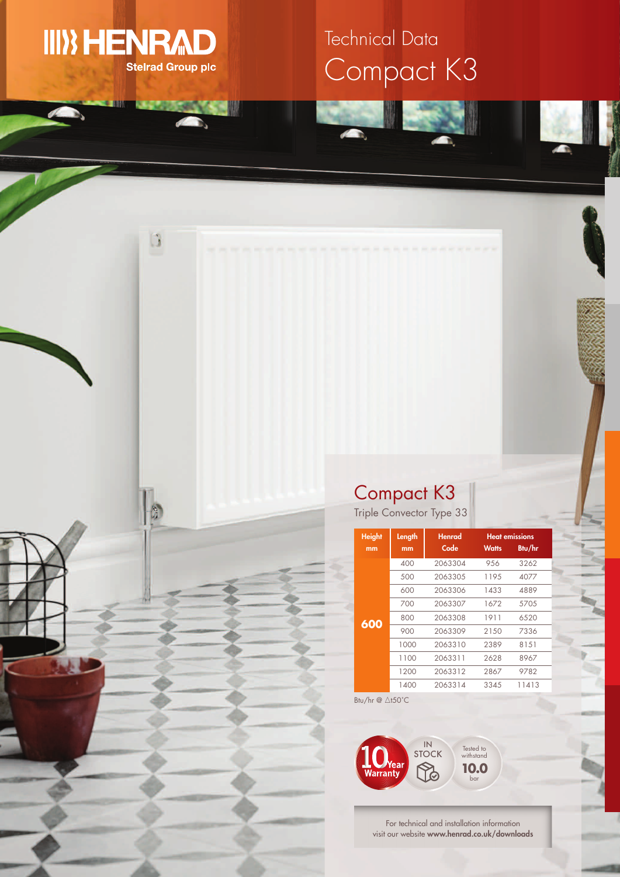

 $\begin{array}{c} \boxed{3} \end{array}$ 

筒

# Compact K3 Technical Data

## Compact K3

Triple Convector Type 33

| <b>Height</b><br>mm | Length<br>mm | <b>Henrad</b><br>Code | <b>Watts</b> | <b>Heat emissions</b><br>Btu/hr |
|---------------------|--------------|-----------------------|--------------|---------------------------------|
| 600                 | 400          | 2063304               | 956          | 3262                            |
|                     | 500          | 2063305               | 1195         | 4077                            |
|                     | 600          | 2063306               | 1433         | 4889                            |
|                     | 700          | 2063307               | 1672         | 5705                            |
|                     | 800          | 2063308               | 1911         | 6520                            |
|                     | 900          | 2063309               | 2150         | 7336                            |
|                     | 1000         | 2063310               | 2389         | 8151                            |
|                     | 1100         | 2063311               | 2628         | 8967                            |
|                     | 1200         | 2063312               | 2867         | 9782                            |
|                     | 1400         | 2063314               | 3345         | 11413                           |

Btu/hr  $@$   $\triangle$ t50°C



For technical and installation information visit our website **www.henrad.co.uk/downloads**